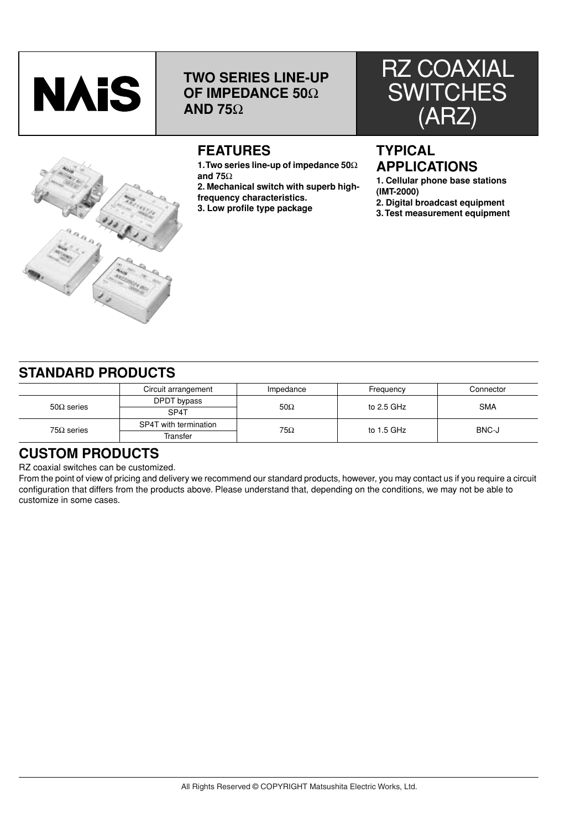

# **TWO SERIES LINE-UP OF IMPEDANCE 50**Ω **AND 75**Ω





# **FEATURES**

**1. Two series line-up of impedance 50**Ω **and 75**Ω

**2. Mechanical switch with superb highfrequency characteristics.**

**3. Low profile type package**

### **TYPICAL APPLICATIONS**

**1. Cellular phone base stations (IMT-2000)**

**2. Digital broadcast equipment**

**3. Test measurement equipment**

### **STANDARD PRODUCTS**

|                   | Circuit arrangement   | Impedance  | Frequency    | Connector  |  |
|-------------------|-----------------------|------------|--------------|------------|--|
| $50\Omega$ series | DPDT bypass           | $50\Omega$ | to $2.5$ GHz | <b>SMA</b> |  |
|                   | SP4T                  |            |              |            |  |
| $75\Omega$ series | SP4T with termination | 75Ω        | to $1.5$ GHz | BNC-J      |  |
|                   | Transfer              |            |              |            |  |

### **CUSTOM PRODUCTS**

RZ coaxial switches can be customized.

From the point of view of pricing and delivery we recommend our standard products, however, you may contact us if you require a circuit configuration that differs from the products above. Please understand that, depending on the conditions, we may not be able to customize in some cases.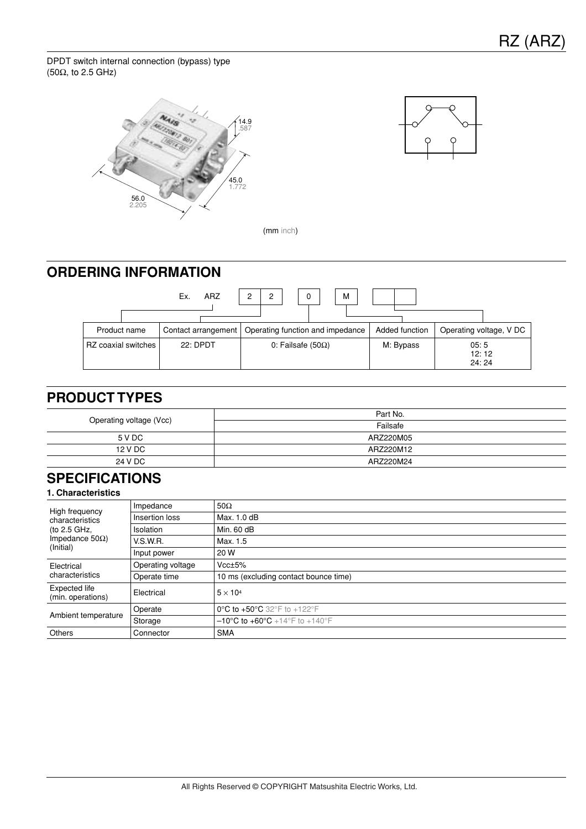DPDT switch internal connection (bypass) type (50Ω, to 2.5 GHz)





(mm inch)

## **ORDERING INFORMATION**



### **PRODUCT TYPES**

| Operating voltage (Vcc) | Part No.  |
|-------------------------|-----------|
|                         | Failsafe  |
| 5 V DC                  | ARZ220M05 |
| 12 V DC                 | ARZ220M12 |
| 24 V DC                 | ARZ220M24 |

### **SPECIFICATIONS**

| High frequency<br>characteristics<br>(to 2.5 GHz,<br>Impedance 50 $\Omega$ )<br>(Initial) | Impedance         | $50\Omega$                                         |
|-------------------------------------------------------------------------------------------|-------------------|----------------------------------------------------|
|                                                                                           | Insertion loss    | Max. 1.0 dB                                        |
|                                                                                           | <b>Isolation</b>  | Min. 60 dB                                         |
|                                                                                           | V.S.W.R.          | Max. 1.5                                           |
|                                                                                           | Input power       | 20 W                                               |
| Electrical<br>characteristics                                                             | Operating voltage | Vcc±5%                                             |
|                                                                                           | Operate time      | 10 ms (excluding contact bounce time)              |
| Expected life<br>(min. operations)                                                        | Electrical        | $5 \times 10^4$                                    |
| Ambient temperature                                                                       | Operate           | 0°C to +50°C 32°F to +122°F                        |
|                                                                                           | Storage           | $-10^{\circ}$ C to $+60^{\circ}$ C +14°F to +140°F |
| Others                                                                                    | Connector         | <b>SMA</b>                                         |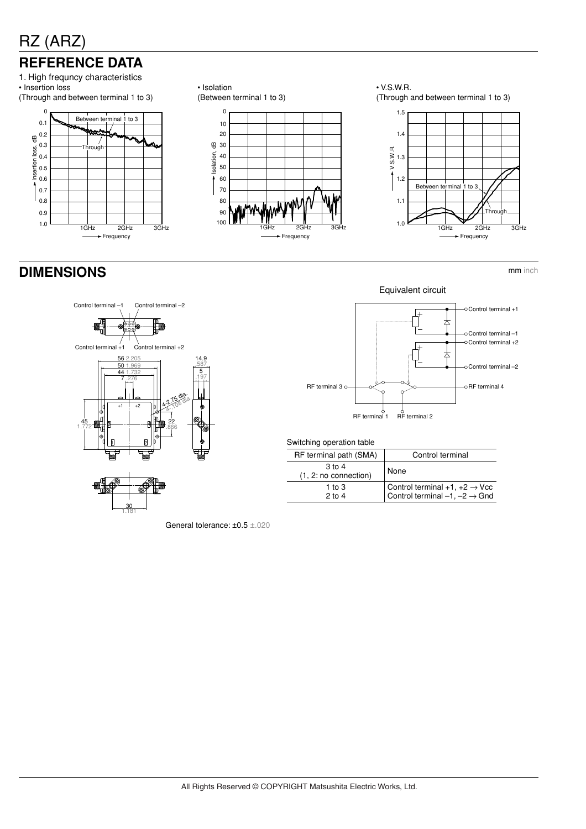# **REFERENCE DATA**

1. High frequncy characteristics • Insertion loss (Through and between terminal 1 to 3)





 $1\text{GHz}$   $2\text{GHz}$   $3\text{GHz}$ Frequency

80 90 100

70

60

 $\overline{ }$ 

• V.S.W.R. (Through and between terminal 1 to 3)



**DIMENSIONS** mm inch



Equivalent circuit Control terminal +1 Control terminal –1 Control terminal +2 Control terminal –2 RF terminal 3  $\circ$   $\bullet$   $\circ$   $\bullet$   $\circ$   $\bullet$   $\bullet$  RF terminal 4  $\begin{array}{cc} 6 & 6 \\ \text{RF terminal 1} & \text{RF terminal 2} \end{array}$ 

Switching operation table

| RF terminal path (SMA)          | Control terminal                                                                       |
|---------------------------------|----------------------------------------------------------------------------------------|
| 3 to 4<br>(1, 2: no connection) | None                                                                                   |
| 1 to $3$<br>$2$ to 4            | Control terminal $+1, +2 \rightarrow$ Vcc<br>Control terminal $-1, -2 \rightarrow$ Gnd |

General tolerance: ±0.5 ±.020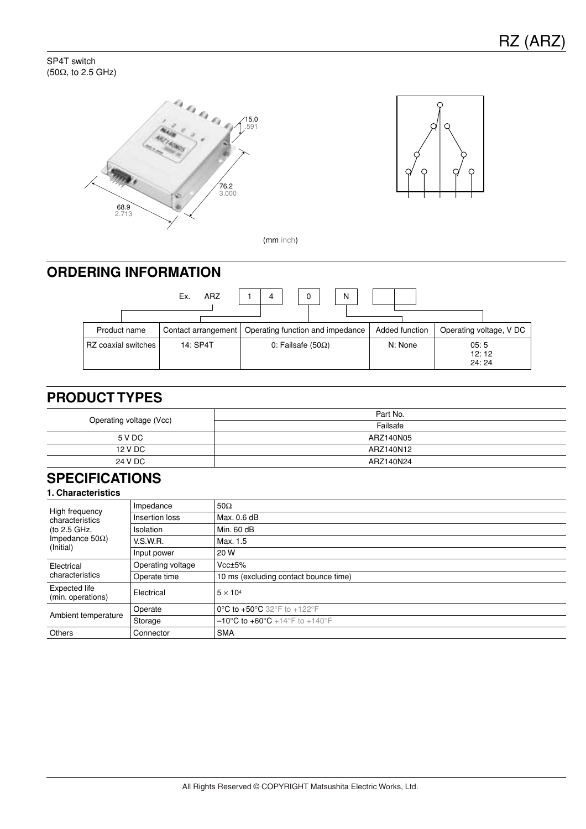SP4T switch (50Ω, to 2.5 GHz)





(mm inch)

## **ORDERING INFORMATION**



## **PRODUCT TYPES**

| Operating voltage (Vcc) | Part No.  |
|-------------------------|-----------|
|                         | Failsafe  |
| 5 V DC                  | ARZ140N05 |
| 12 V DC                 | ARZ140N12 |
| 24 V DC                 | ARZ140N24 |

## **SPECIFICATIONS**

| High frequency<br>characteristics<br>(to 2.5 GHz,<br>Impedance 50 $\Omega$ )<br>(Initial) | Impedance         | $50\Omega$                                         |
|-------------------------------------------------------------------------------------------|-------------------|----------------------------------------------------|
|                                                                                           | Insertion loss    | Max. 0.6 dB                                        |
|                                                                                           | Isolation         | Min. 60 dB                                         |
|                                                                                           | V.S.W.R.          | Max. 1.5                                           |
|                                                                                           | Input power       | 20 W                                               |
| Electrical<br>characteristics                                                             | Operating voltage | $Vcc \pm 5%$                                       |
|                                                                                           | Operate time      | 10 ms (excluding contact bounce time)              |
| Expected life<br>(min. operations)                                                        | Electrical        | $5 \times 10^4$                                    |
| Ambient temperature                                                                       | Operate           | 0°C to +50°C 32°F to +122°F                        |
|                                                                                           | Storage           | $-10^{\circ}$ C to $+60^{\circ}$ C +14°F to +140°F |
| Others                                                                                    | Connector         | <b>SMA</b>                                         |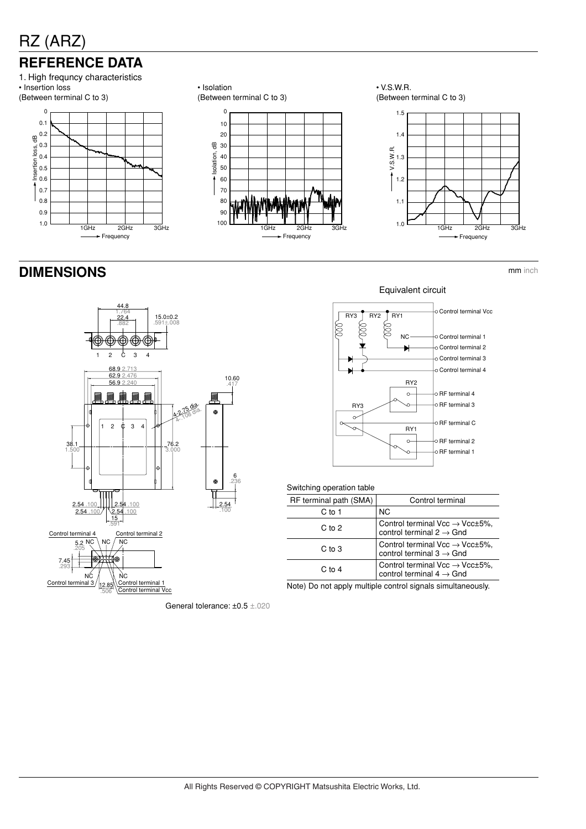# **REFERENCE DATA**



## **DIMENSIONS** mm inch



0 10 20 30 Isolation, dB 40 Isolation, 50 60 70 80 90 100 1GHz 2GHz 3GHz

**Frequency** 

• Isolation

(Between terminal C to 3)

• V.S.W.R. (Between terminal C to 3)



#### Equivalent circuit



|  | Switching operation table |  |
|--|---------------------------|--|
|--|---------------------------|--|

| RF terminal path (SMA) | Control terminal                                                                         |
|------------------------|------------------------------------------------------------------------------------------|
| C to 1                 | <b>NC</b>                                                                                |
| $C$ to $2$             | Control terminal Vcc $\rightarrow$ Vcc $\pm$ 5%,<br>control terminal $2 \rightarrow$ Gnd |
| C to 3                 | Control terminal Vcc $\rightarrow$ Vcc $\pm$ 5%,<br>control terminal $3 \rightarrow$ Gnd |
| $C$ to 4               | Control terminal Vcc $\rightarrow$ Vcc $\pm$ 5%,<br>control terminal $4 \rightarrow$ Gnd |
|                        |                                                                                          |

Note) Do not apply multiple control signals simultaneously.

General tolerance: ±0.5 ±.020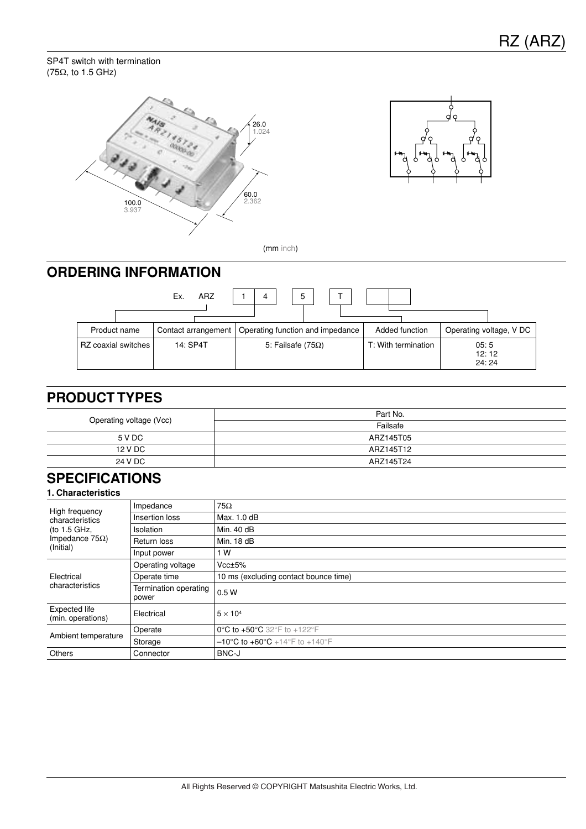#### SP4T switch with termination (75Ω, to 1.5 GHz)





(mm inch)

## **ORDERING INFORMATION**



## **PRODUCT TYPES**

| Operating voltage (Vcc) | Part No.  |
|-------------------------|-----------|
|                         | Failsafe  |
| 5 V DC                  | ARZ145T05 |
| 12 V DC                 | ARZ145T12 |
| 24 V DC                 | ARZ145T24 |

## **SPECIFICATIONS**

| High frequency<br>characteristics<br>(to 1.5 GHz, | Impedance                      | $75\Omega$                                         |
|---------------------------------------------------|--------------------------------|----------------------------------------------------|
|                                                   | Insertion loss                 | Max. 1.0 dB                                        |
|                                                   | <b>Isolation</b>               | Min. 40 dB                                         |
| Impedance 75 $\Omega$ )                           | Return loss                    | Min. 18 dB                                         |
| (Initial)                                         | Input power                    | 1 W                                                |
|                                                   | Operating voltage              | Vcc±5%                                             |
| Electrical                                        | Operate time                   | 10 ms (excluding contact bounce time)              |
| characteristics                                   | Termination operating<br>power | 0.5W                                               |
| Expected life<br>(min. operations)                | Electrical                     | $5 \times 10^4$                                    |
| Ambient temperature                               | Operate                        | 0°C to +50°C 32°F to +122°F                        |
|                                                   | Storage                        | $-10^{\circ}$ C to $+60^{\circ}$ C +14°F to +140°F |
| Others                                            | Connector                      | BNC-J                                              |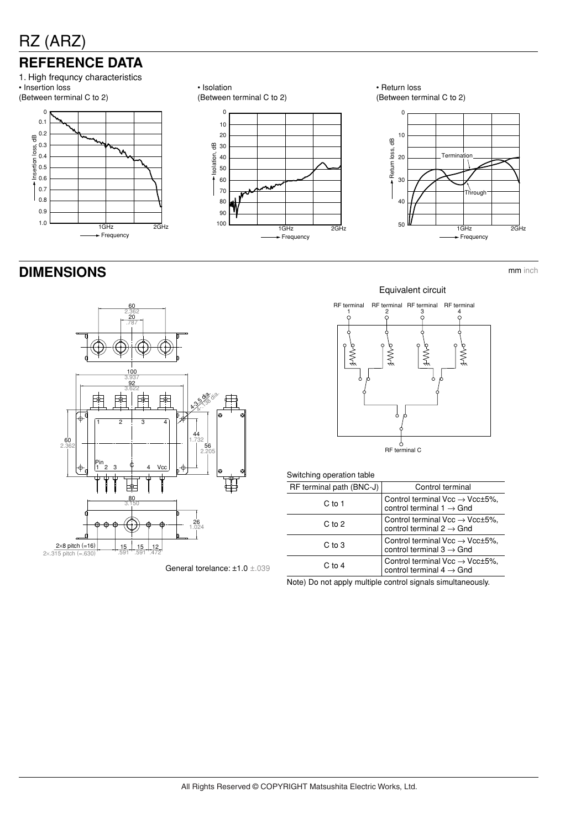# **REFERENCE DATA**



# • Isolation







## **DIMENSIONS** mm inch



General torelance: ±1.0 ±.039





#### Switching operation table

| RF terminal path (BNC-J) | Control terminal                                                                         |
|--------------------------|------------------------------------------------------------------------------------------|
| C to 1                   | Control terminal Vcc $\rightarrow$ Vcc $\pm$ 5%,<br>control terminal 1 $\rightarrow$ Gnd |
| $C$ to $2$               | Control terminal $Vec \rightarrow Vec \pm 5\%,$<br>control terminal $2 \rightarrow$ Gnd  |
| $C$ to $3$               | Control terminal Vcc $\rightarrow$ Vcc $\pm$ 5%,<br>control terminal $3 \rightarrow$ Gnd |
| $C$ to 4                 | Control terminal $Vec \rightarrow Vec \pm 5\%,$<br>control terminal $4 \rightarrow$ Gnd  |

Note) Do not apply multiple control signals simultaneously.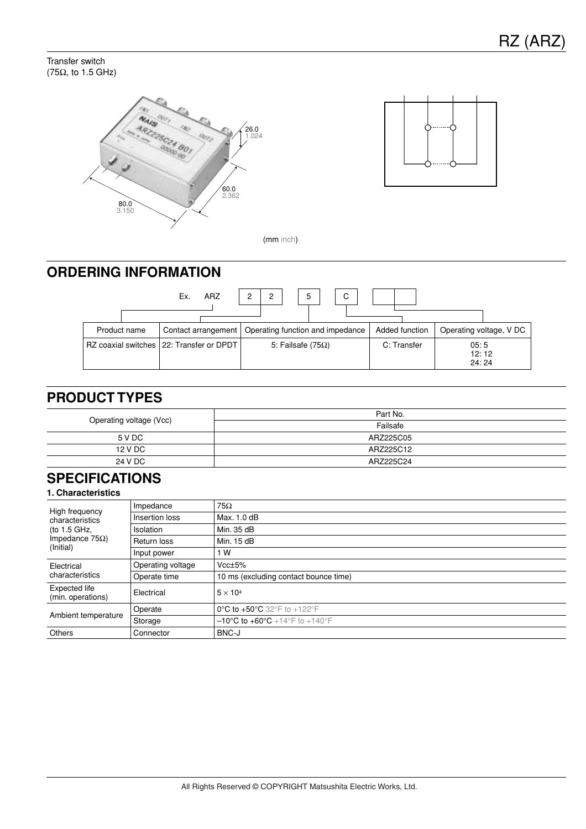Transfer switch (75Ω, to 1.5 GHz)





(mm inch)

## **ORDERING INFORMATION**



### **PRODUCT TYPES**

| Operating voltage (Vcc) | Part No.  |
|-------------------------|-----------|
|                         | Failsafe  |
| 5 V DC                  | ARZ225C05 |
| 12 V DC                 | ARZ225C12 |
| 24 V DC                 | ARZ225C24 |

## **SPECIFICATIONS**

| High frequency<br>characteristics<br>(to 1.5 GHz,<br>Impedance 75Ω)<br>(Initial) | Impedance         | $75\Omega$                                         |  |
|----------------------------------------------------------------------------------|-------------------|----------------------------------------------------|--|
|                                                                                  | Insertion loss    | Max. 1.0 dB                                        |  |
|                                                                                  | Isolation         | Min. 35 dB                                         |  |
|                                                                                  | Return loss       | Min. 15 dB                                         |  |
|                                                                                  | Input power       | 1 W                                                |  |
| Electrical<br>characteristics                                                    | Operating voltage | Vcc±5%                                             |  |
|                                                                                  | Operate time      | 10 ms (excluding contact bounce time)              |  |
| Expected life<br>(min. operations)                                               | Electrical        | $5 \times 10^4$                                    |  |
| Ambient temperature                                                              | Operate           | 0°C to +50°C 32°F to +122°F                        |  |
|                                                                                  | Storage           | $-10^{\circ}$ C to $+60^{\circ}$ C +14°F to +140°F |  |
| Others                                                                           | Connector         | BNC-J                                              |  |